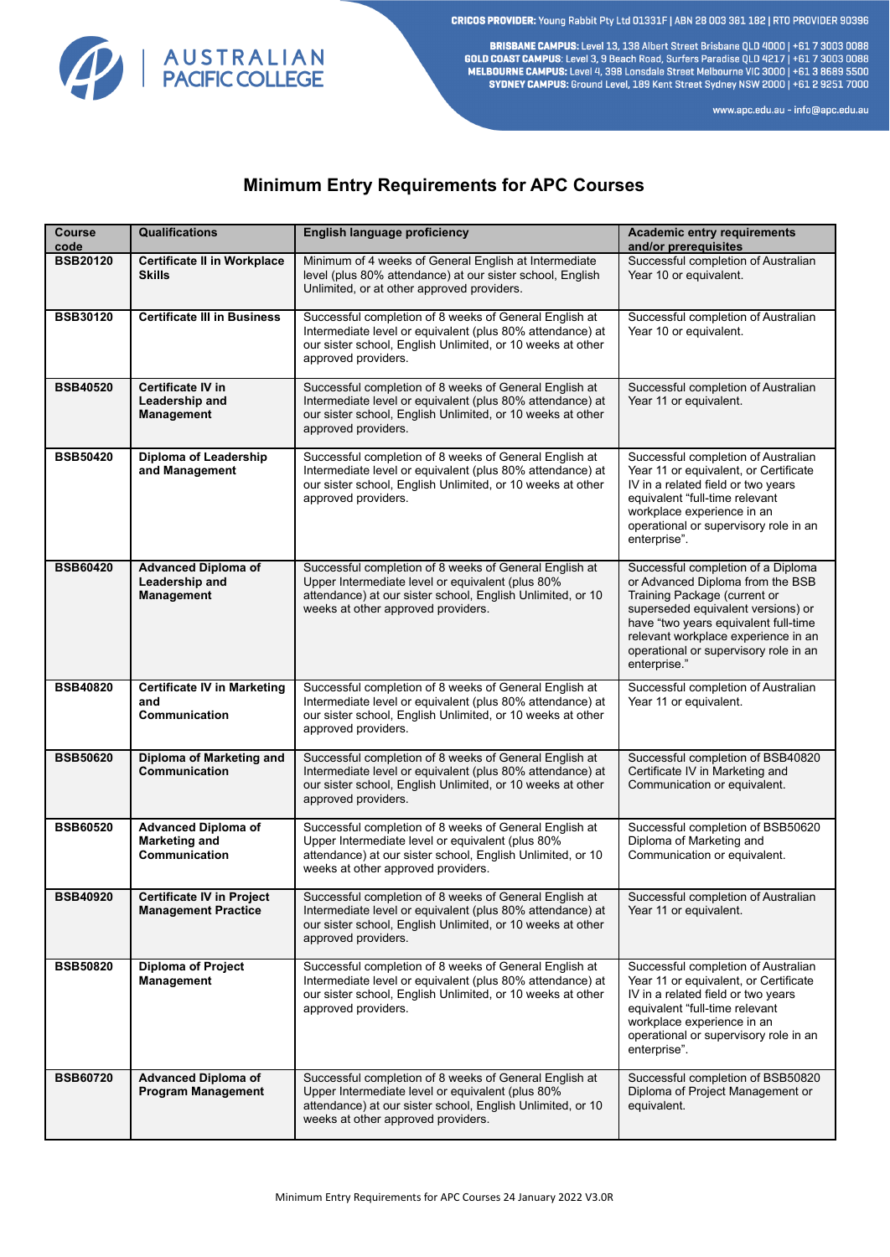CRICOS PROVIDER: Young Rabbit Pty Ltd 01331F | ABN 28 003 381 182 | RTO PROVIDER 90396



BRISBANE CAMPUS: Level 13, 138 Albert Street Brisbane QLD 4000 | +61 7 3003 0088 **GOLD COAST CAMPUS:** Level 3, 9 Beach Road, Surfers Paradise QLD 4217 | +61 7 3003 0088<br>MELBOURNE CAMPUS: Level 3, 9 Beach Road, Surfers Paradise QLD 4217 | +61 7 3003 0088<br>MELBOURNE CAMPUS: Level 4, 398 Lonsdale Street Me SYDNEY CAMPUS: Ground Level, 189 Kent Street Sydney NSW 2000 | +61 2 9251 7000

www.apc.edu.au - info@apc.edu.au

## **Minimum Entry Requirements for APC Courses**

| Course<br>code  | <b>Qualifications</b>                                               | <b>English language proficiency</b>                                                                                                                                                                            | <b>Academic entry requirements</b><br>and/or prerequisites                                                                                                                                                                                                                           |
|-----------------|---------------------------------------------------------------------|----------------------------------------------------------------------------------------------------------------------------------------------------------------------------------------------------------------|--------------------------------------------------------------------------------------------------------------------------------------------------------------------------------------------------------------------------------------------------------------------------------------|
| <b>BSB20120</b> | <b>Certificate II in Workplace</b><br><b>Skills</b>                 | Minimum of 4 weeks of General English at Intermediate<br>level (plus 80% attendance) at our sister school, English<br>Unlimited, or at other approved providers.                                               | Successful completion of Australian<br>Year 10 or equivalent.                                                                                                                                                                                                                        |
| <b>BSB30120</b> | <b>Certificate III in Business</b>                                  | Successful completion of 8 weeks of General English at<br>Intermediate level or equivalent (plus 80% attendance) at<br>our sister school, English Unlimited, or 10 weeks at other<br>approved providers.       | Successful completion of Australian<br>Year 10 or equivalent.                                                                                                                                                                                                                        |
| <b>BSB40520</b> | Certificate IV in<br>Leadership and<br>Management                   | Successful completion of 8 weeks of General English at<br>Intermediate level or equivalent (plus 80% attendance) at<br>our sister school, English Unlimited, or 10 weeks at other<br>approved providers.       | Successful completion of Australian<br>Year 11 or equivalent.                                                                                                                                                                                                                        |
| <b>BSB50420</b> | Diploma of Leadership<br>and Management                             | Successful completion of 8 weeks of General English at<br>Intermediate level or equivalent (plus 80% attendance) at<br>our sister school, English Unlimited, or 10 weeks at other<br>approved providers.       | Successful completion of Australian<br>Year 11 or equivalent, or Certificate<br>IV in a related field or two years<br>equivalent "full-time relevant<br>workplace experience in an<br>operational or supervisory role in an<br>enterprise".                                          |
| <b>BSB60420</b> | <b>Advanced Diploma of</b><br>Leadership and<br>Management          | Successful completion of 8 weeks of General English at<br>Upper Intermediate level or equivalent (plus 80%<br>attendance) at our sister school, English Unlimited, or 10<br>weeks at other approved providers. | Successful completion of a Diploma<br>or Advanced Diploma from the BSB<br>Training Package (current or<br>superseded equivalent versions) or<br>have "two years equivalent full-time<br>relevant workplace experience in an<br>operational or supervisory role in an<br>enterprise." |
| <b>BSB40820</b> | <b>Certificate IV in Marketing</b><br>and<br>Communication          | Successful completion of 8 weeks of General English at<br>Intermediate level or equivalent (plus 80% attendance) at<br>our sister school, English Unlimited, or 10 weeks at other<br>approved providers.       | Successful completion of Australian<br>Year 11 or equivalent.                                                                                                                                                                                                                        |
| <b>BSB50620</b> | Diploma of Marketing and<br>Communication                           | Successful completion of 8 weeks of General English at<br>Intermediate level or equivalent (plus 80% attendance) at<br>our sister school, English Unlimited, or 10 weeks at other<br>approved providers.       | Successful completion of BSB40820<br>Certificate IV in Marketing and<br>Communication or equivalent.                                                                                                                                                                                 |
| <b>BSB60520</b> | <b>Advanced Diploma of</b><br><b>Marketing and</b><br>Communication | Successful completion of 8 weeks of General English at<br>Upper Intermediate level or equivalent (plus 80%<br>attendance) at our sister school, English Unlimited, or 10<br>weeks at other approved providers. | Successful completion of BSB50620<br>Diploma of Marketing and<br>Communication or equivalent.                                                                                                                                                                                        |
| <b>BSB40920</b> | <b>Certificate IV in Project</b><br><b>Management Practice</b>      | Successful completion of 8 weeks of General English at<br>Intermediate level or equivalent (plus 80% attendance) at<br>our sister school, English Unlimited, or 10 weeks at other<br>approved providers.       | Successful completion of Australian<br>Year 11 or equivalent.                                                                                                                                                                                                                        |
| <b>BSB50820</b> | <b>Diploma of Project</b><br>Management                             | Successful completion of 8 weeks of General English at<br>Intermediate level or equivalent (plus 80% attendance) at<br>our sister school, English Unlimited, or 10 weeks at other<br>approved providers.       | Successful completion of Australian<br>Year 11 or equivalent, or Certificate<br>IV in a related field or two years<br>equivalent "full-time relevant<br>workplace experience in an<br>operational or supervisory role in an<br>enterprise".                                          |
| <b>BSB60720</b> | <b>Advanced Diploma of</b><br><b>Program Management</b>             | Successful completion of 8 weeks of General English at<br>Upper Intermediate level or equivalent (plus 80%<br>attendance) at our sister school, English Unlimited, or 10<br>weeks at other approved providers. | Successful completion of BSB50820<br>Diploma of Project Management or<br>equivalent.                                                                                                                                                                                                 |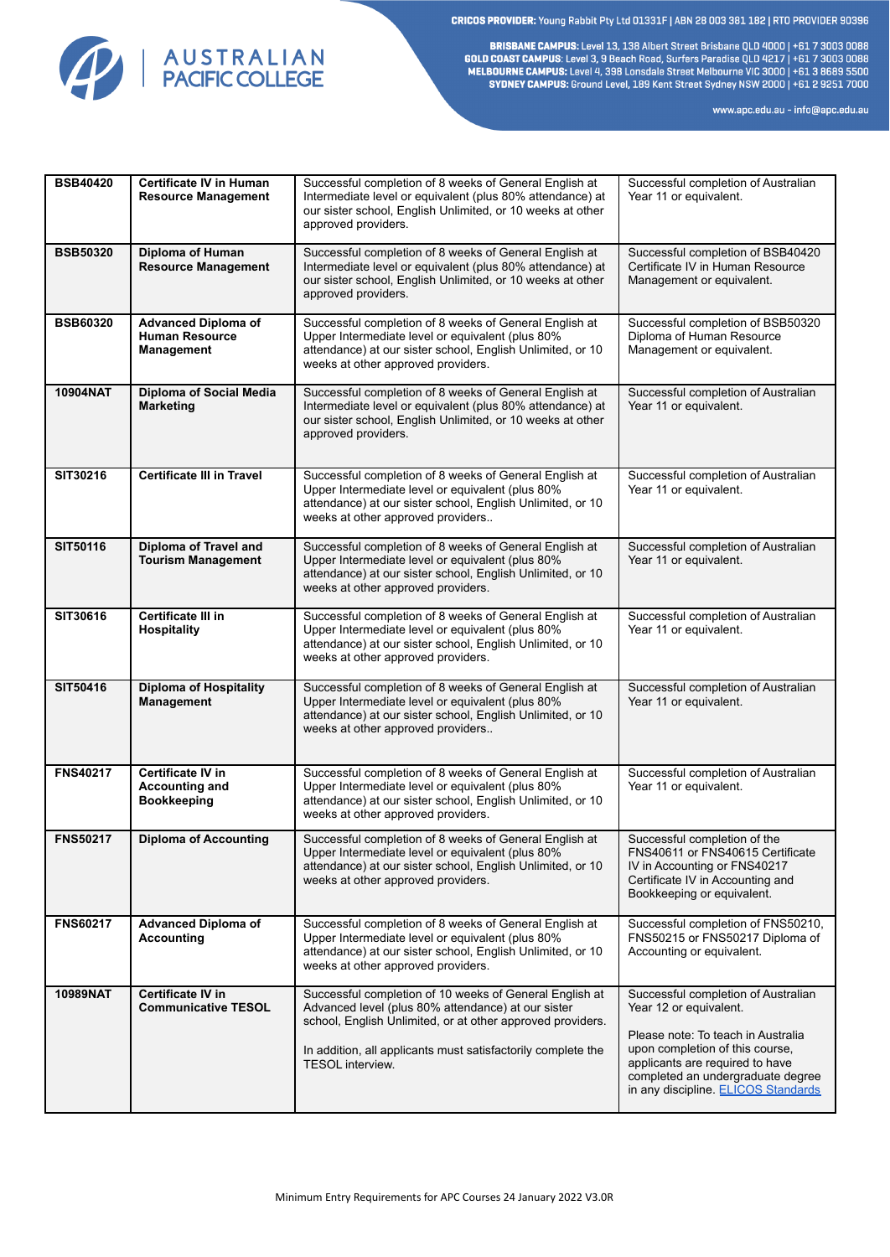CRICOS PROVIDER: Young Rabbit Pty Ltd 01331F | ABN 28 003 381 182 | RTO PROVIDER 90396



BRISBANE CAMPUS: Level 13, 138 Albert Street Brisbane QLD 4000 | +61 7 3003 0088 **GOLD COAST CAMPUS:** Level 3, 9 Beach Road, Surfers Paradise QLD 4217 | +61 7 3003 0088<br>MELBOURNE CAMPUS: Level 3, 9 Beach Road, Surfers Paradise QLD 4217 | +61 7 3003 0088<br>MELBOURNE CAMPUS: Level 4, 398 Lonsdale Street Me SYDNEY CAMPUS: Ground Level, 189 Kent Street Sydney NSW 2000 | +61 2 9251 7000

www.apc.edu.au - info@apc.edu.au

| <b>BSB40420</b> | <b>Certificate IV in Human</b><br><b>Resource Management</b>            | Successful completion of 8 weeks of General English at<br>Intermediate level or equivalent (plus 80% attendance) at<br>our sister school, English Unlimited, or 10 weeks at other<br>approved providers.                                    | Successful completion of Australian<br>Year 11 or equivalent.                                                                                                             |
|-----------------|-------------------------------------------------------------------------|---------------------------------------------------------------------------------------------------------------------------------------------------------------------------------------------------------------------------------------------|---------------------------------------------------------------------------------------------------------------------------------------------------------------------------|
| <b>BSB50320</b> | Diploma of Human<br><b>Resource Management</b>                          | Successful completion of 8 weeks of General English at<br>Intermediate level or equivalent (plus 80% attendance) at<br>our sister school, English Unlimited, or 10 weeks at other<br>approved providers.                                    | Successful completion of BSB40420<br>Certificate IV in Human Resource<br>Management or equivalent.                                                                        |
| <b>BSB60320</b> | <b>Advanced Diploma of</b><br><b>Human Resource</b><br>Management       | Successful completion of 8 weeks of General English at<br>Upper Intermediate level or equivalent (plus 80%<br>attendance) at our sister school, English Unlimited, or 10<br>weeks at other approved providers.                              | Successful completion of BSB50320<br>Diploma of Human Resource<br>Management or equivalent.                                                                               |
| 10904NAT        | <b>Diploma of Social Media</b><br><b>Marketing</b>                      | Successful completion of 8 weeks of General English at<br>Intermediate level or equivalent (plus 80% attendance) at<br>our sister school, English Unlimited, or 10 weeks at other<br>approved providers.                                    | Successful completion of Australian<br>Year 11 or equivalent.                                                                                                             |
| SIT30216        | <b>Certificate III in Travel</b>                                        | Successful completion of 8 weeks of General English at<br>Upper Intermediate level or equivalent (plus 80%<br>attendance) at our sister school, English Unlimited, or 10<br>weeks at other approved providers                               | Successful completion of Australian<br>Year 11 or equivalent.                                                                                                             |
| <b>SIT50116</b> | Diploma of Travel and<br><b>Tourism Management</b>                      | Successful completion of 8 weeks of General English at<br>Upper Intermediate level or equivalent (plus 80%<br>attendance) at our sister school, English Unlimited, or 10<br>weeks at other approved providers.                              | Successful completion of Australian<br>Year 11 or equivalent.                                                                                                             |
| SIT30616        | Certificate III in<br><b>Hospitality</b>                                | Successful completion of 8 weeks of General English at<br>Upper Intermediate level or equivalent (plus 80%<br>attendance) at our sister school, English Unlimited, or 10<br>weeks at other approved providers.                              | Successful completion of Australian<br>Year 11 or equivalent.                                                                                                             |
| SIT50416        | <b>Diploma of Hospitality</b><br><b>Management</b>                      | Successful completion of 8 weeks of General English at<br>Upper Intermediate level or equivalent (plus 80%<br>attendance) at our sister school, English Unlimited, or 10<br>weeks at other approved providers                               | Successful completion of Australian<br>Year 11 or equivalent.                                                                                                             |
| <b>FNS40217</b> | <b>Certificate IV in</b><br><b>Accounting and</b><br><b>Bookkeeping</b> | Successful completion of 8 weeks of General English at<br>Upper Intermediate level or equivalent (plus 80%<br>attendance) at our sister school, English Unlimited, or 10<br>weeks at other approved providers.                              | Successful completion of Australian<br>Year 11 or equivalent.                                                                                                             |
| <b>FNS50217</b> | <b>Diploma of Accounting</b>                                            | Successful completion of 8 weeks of General English at<br>Upper Intermediate level or equivalent (plus 80%<br>attendance) at our sister school, English Unlimited, or 10<br>weeks at other approved providers.                              | Successful completion of the<br>FNS40611 or FNS40615 Certificate<br>IV in Accounting or FNS40217<br>Certificate IV in Accounting and<br>Bookkeeping or equivalent.        |
| <b>FNS60217</b> | <b>Advanced Diploma of</b><br><b>Accounting</b>                         | Successful completion of 8 weeks of General English at<br>Upper Intermediate level or equivalent (plus 80%<br>attendance) at our sister school, English Unlimited, or 10<br>weeks at other approved providers.                              | Successful completion of FNS50210,<br>FNS50215 or FNS50217 Diploma of<br>Accounting or equivalent.                                                                        |
| 10989NAT        | <b>Certificate IV in</b><br><b>Communicative TESOL</b>                  | Successful completion of 10 weeks of General English at<br>Advanced level (plus 80% attendance) at our sister<br>school, English Unlimited, or at other approved providers.<br>In addition, all applicants must satisfactorily complete the | Successful completion of Australian<br>Year 12 or equivalent.<br>Please note: To teach in Australia<br>upon completion of this course,<br>applicants are required to have |
|                 |                                                                         | <b>TESOL</b> interview.                                                                                                                                                                                                                     | completed an undergraduate degree<br>in any discipline. ELICOS Standards                                                                                                  |